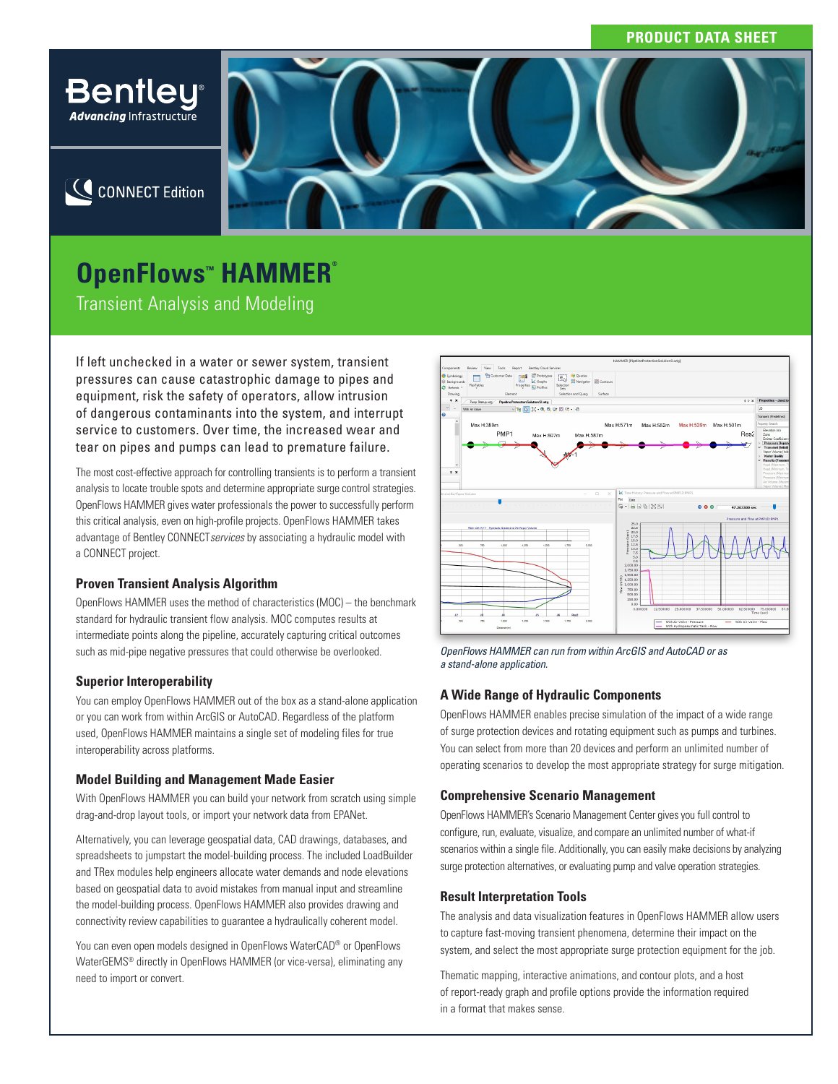**Bentley Advancing** Infrastructure

CONNECT Edition

# **OpenFlows™ HAMMER®**

Transient Analysis and Modeling

If left unchecked in a water or sewer system, transient pressures can cause catastrophic damage to pipes and equipment, risk the safety of operators, allow intrusion of dangerous contaminants into the system, and interrupt service to customers. Over time, the increased wear and tear on pipes and pumps can lead to premature failure.

The most cost-effective approach for controlling transients is to perform a transient analysis to locate trouble spots and determine appropriate surge control strategies. OpenFlows HAMMER gives water professionals the power to successfully perform this critical analysis, even on high-profile projects. OpenFlows HAMMER takes advantage of Bentley CONNECT*services* by associating a hydraulic model with a CONNECT project.

## **Proven Transient Analysis Algorithm**

OpenFlows HAMMER uses the method of characteristics (MOC) – the benchmark standard for hydraulic transient flow analysis. MOC computes results at intermediate points along the pipeline, accurately capturing critical outcomes such as mid-pipe negative pressures that could otherwise be overlooked.

## **Superior Interoperability**

You can employ OpenFlows HAMMER out of the box as a stand-alone application or you can work from within ArcGIS or AutoCAD. Regardless of the platform used, OpenFlows HAMMER maintains a single set of modeling files for true interoperability across platforms.

## **Model Building and Management Made Easier**

With OpenFlows HAMMER you can build your network from scratch using simple drag-and-drop layout tools, or import your network data from EPANet.

Alternatively, you can leverage geospatial data, CAD drawings, databases, and spreadsheets to jumpstart the model-building process. The included LoadBuilder and TRex modules help engineers allocate water demands and node elevations based on geospatial data to avoid mistakes from manual input and streamline the model-building process. OpenFlows HAMMER also provides drawing and connectivity review capabilities to guarantee a hydraulically coherent model.

You can even open models designed in OpenFlows WaterCAD® or OpenFlows WaterGEMS® directly in OpenFlows HAMMER (or vice-versa), eliminating any need to import or convert.





## **A Wide Range of Hydraulic Components**

OpenFlows HAMMER enables precise simulation of the impact of a wide range of surge protection devices and rotating equipment such as pumps and turbines. You can select from more than 20 devices and perform an unlimited number of operating scenarios to develop the most appropriate strategy for surge mitigation.

## **Comprehensive Scenario Management**

OpenFlows HAMMER's Scenario Management Center gives you full control to configure, run, evaluate, visualize, and compare an unlimited number of what-if scenarios within a single file. Additionally, you can easily make decisions by analyzing surge protection alternatives, or evaluating pump and valve operation strategies.

## **Result Interpretation Tools**

The analysis and data visualization features in OpenFlows HAMMER allow users to capture fast-moving transient phenomena, determine their impact on the system, and select the most appropriate surge protection equipment for the job.

Thematic mapping, interactive animations, and contour plots, and a host of report-ready graph and profile options provide the information required in a format that makes sense.